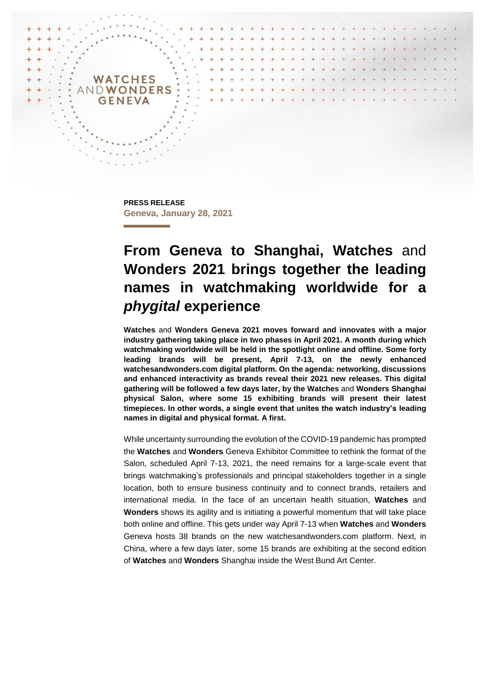

**PRESS RELEASE Geneva, January 28, 2021**

# **From Geneva to Shanghai, Watches** and **Wonders 2021 brings together the leading names in watchmaking worldwide for a**  *phygital* **experience**

**Watches** and **Wonders Geneva 2021 moves forward and innovates with a major industry gathering taking place in two phases in April 2021. A month during which watchmaking worldwide will be held in the spotlight online and offline. Some forty leading brands will be present, April 7-13, on the newly enhanced watchesandwonders.com digital platform. On the agenda: networking, discussions and enhanced interactivity as brands reveal their 2021 new releases. This digital gathering will be followed a few days later, by the Watches** and **Wonders Shanghai physical Salon, where some 15 exhibiting brands will present their latest timepieces. In other words, a single event that unites the watch industry's leading names in digital and physical format. A first.**

While uncertainty surrounding the evolution of the COVID-19 pandemic has prompted the **Watches** and **Wonders** Geneva Exhibitor Committee to rethink the format of the Salon, scheduled April 7-13, 2021, the need remains for a large-scale event that brings watchmaking's professionals and principal stakeholders together in a single location, both to ensure business continuity and to connect brands, retailers and international media. In the face of an uncertain health situation, **Watches** and **Wonders** shows its agility and is initiating a powerful momentum that will take place both online and offline. This gets under way April 7-13 when **Watches** and **Wonders**  Geneva hosts 38 brands on the new watchesandwonders.com platform. Next, in China, where a few days later, some 15 brands are exhibiting at the second edition of **Watches** and **Wonders** Shanghai inside the West Bund Art Center.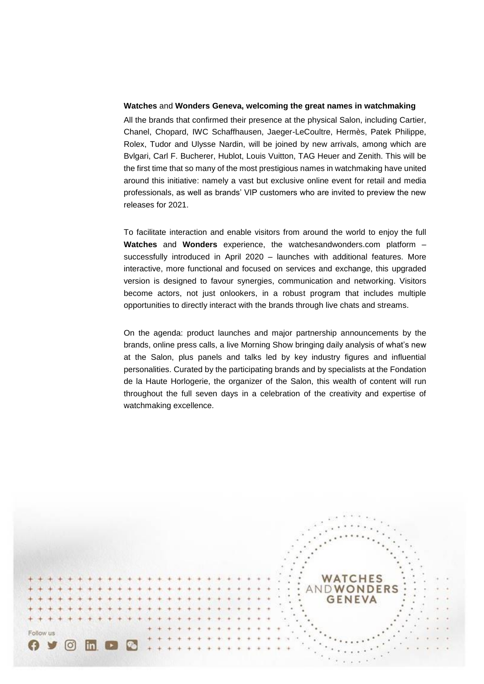### **Watches** and **Wonders Geneva, welcoming the great names in watchmaking**

All the brands that confirmed their presence at the physical Salon, including Cartier, Chanel, Chopard, IWC Schaffhausen, Jaeger-LeCoultre, Hermès, Patek Philippe, Rolex, Tudor and Ulysse Nardin, will be joined by new arrivals, among which are Bvlgari, Carl F. Bucherer, Hublot, Louis Vuitton, TAG Heuer and Zenith. This will be the first time that so many of the most prestigious names in watchmaking have united around this initiative: namely a vast but exclusive online event for retail and media professionals, as well as brands' VIP customers who are invited to preview the new releases for 2021.

To facilitate interaction and enable visitors from around the world to enjoy the full **Watches** and **Wonders** experience, the watchesandwonders.com platform – successfully introduced in April 2020 – launches with additional features. More interactive, more functional and focused on services and exchange, this upgraded version is designed to favour synergies, communication and networking. Visitors become actors, not just onlookers, in a robust program that includes multiple opportunities to directly interact with the brands through live chats and streams.

On the agenda: product launches and major partnership announcements by the brands, online press calls, a live Morning Show bringing daily analysis of what's new at the Salon, plus panels and talks led by key industry figures and influential personalities. Curated by the participating brands and by specialists at the Fondation de la Haute Horlogerie, the organizer of the Salon, this wealth of content will run throughout the full seven days in a celebration of the creativity and expertise of watchmaking excellence.

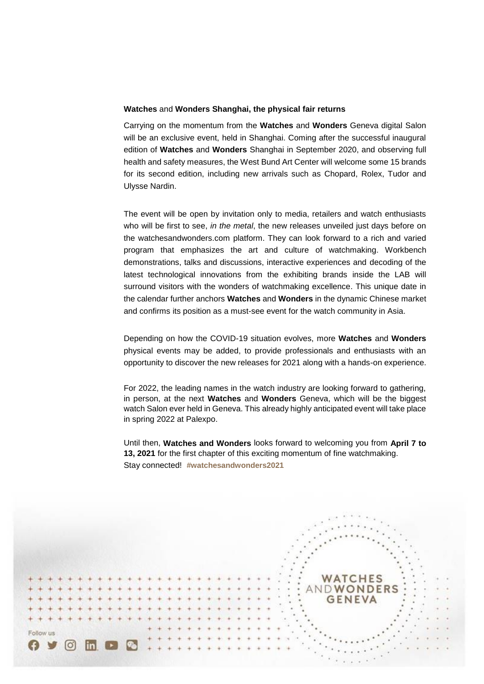#### **Watches** and **Wonders Shanghai, the physical fair returns**

Carrying on the momentum from the **Watches** and **Wonders** Geneva digital Salon will be an exclusive event, held in Shanghai. Coming after the successful inaugural edition of **Watches** and **Wonders** Shanghai in September 2020, and observing full health and safety measures, the West Bund Art Center will welcome some 15 brands for its second edition, including new arrivals such as Chopard, Rolex, Tudor and Ulysse Nardin.

The event will be open by invitation only to media, retailers and watch enthusiasts who will be first to see, *in the metal*, the new releases unveiled just days before on the watchesandwonders.com platform. They can look forward to a rich and varied program that emphasizes the art and culture of watchmaking. Workbench demonstrations, talks and discussions, interactive experiences and decoding of the latest technological innovations from the exhibiting brands inside the LAB will surround visitors with the wonders of watchmaking excellence. This unique date in the calendar further anchors **Watches** and **Wonders** in the dynamic Chinese market and confirms its position as a must-see event for the watch community in Asia.

Depending on how the COVID-19 situation evolves, more **Watches** and **Wonders** physical events may be added, to provide professionals and enthusiasts with an opportunity to discover the new releases for 2021 along with a hands-on experience.

For 2022, the leading names in the watch industry are looking forward to gathering, in person, at the next **Watches** and **Wonders** Geneva, which will be the biggest watch Salon ever held in Geneva. This already highly anticipated event will take place in spring 2022 at Palexpo.

Until then, **Watches and Wonders** looks forward to welcoming you from **April 7 to 13, 2021** for the first chapter of this exciting momentum of fine watchmaking. Stay connected! **#watchesandwonders2021**